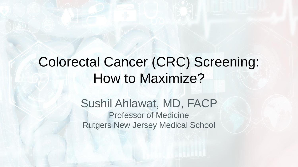## Colorectal Cancer (CRC) Screening: How to Maximize?

Sushil Ahlawat, MD, FACP Professor of Medicine Rutgers New Jersey Medical School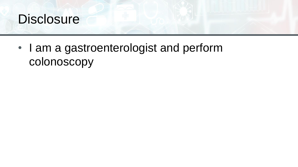

• I am a gastroenterologist and perform colonoscopy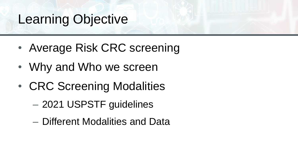#### Learning Objective

- Average Risk CRC screening
- Why and Who we screen
- CRC Screening Modalities
	- 2021 USPSTF guidelines
	- Different Modalities and Data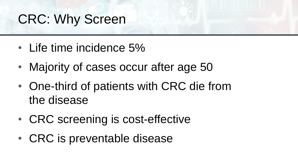# CRC: Why Screen

- Life time incidence 5%
- Majority of cases occur after age 50
- One-third of patients with CRC die from the disease
- CRC screening is cost-effective
- CRC is preventable disease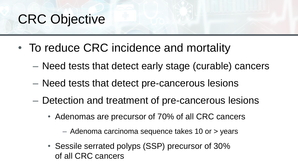### CRC Objective

- To reduce CRC incidence and mortality
	- Need tests that detect early stage (curable) cancers
	- Need tests that detect pre-cancerous lesions
	- Detection and treatment of pre-cancerous lesions
		- Adenomas are precursor of 70% of all CRC cancers
			- Adenoma carcinoma sequence takes 10 or > years
		- Sessile serrated polyps (SSP) precursor of 30% of all CRC cancers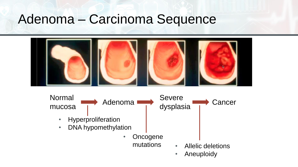#### Adenoma – Carcinoma Sequence



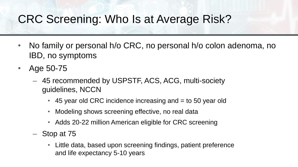#### CRC Screening: Who Is at Average Risk?

- No family or personal h/o CRC, no personal h/o colon adenoma, no IBD, no symptoms
- Age 50-75
	- 45 recommended by USPSTF, ACS, ACG, multi-society guidelines, NCCN
		- $\cdot$  45 year old CRC incidence increasing and  $=$  to 50 year old
		- Modeling shows screening effective, no real data
		- Adds 20-22 million American eligible for CRC screening
	- Stop at 75
		- Little data, based upon screening findings, patient preference and life expectancy 5-10 years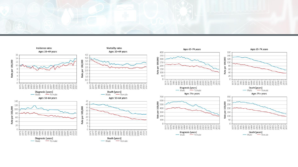

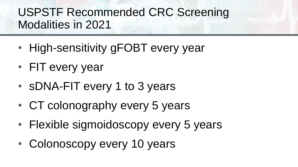#### USPSTF Recommended CRC Screening Modalities in 2021

- High-sensitivity gFOBT every year
- FIT every year
- sDNA-FIT every 1 to 3 years
- CT colonography every 5 years
- Flexible sigmoidoscopy every 5 years
- Colonoscopy every 10 years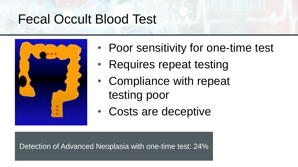#### Fecal Occult Blood Test



- Poor sensitivity for one-time test
- Requires repeat testing
- Compliance with repeat testing poor
- Costs are deceptive

Detection of Advanced Neoplasia with one-time test: 24%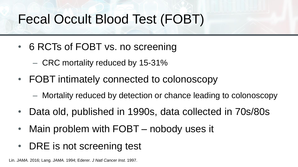### Fecal Occult Blood Test (FOBT)

- 6 RCTs of FOBT vs. no screening
	- CRC mortality reduced by 15-31%
- FOBT intimately connected to colonoscopy
	- Mortality reduced by detection or chance leading to colonoscopy
- Data old, published in 1990s, data collected in 70s/80s
- Main problem with FOBT nobody uses it
- DRE is not screening test

Lin. *JAMA.* 2016; Lang. *JAMA.* 1994; Ederer. *J Natl Cancer Inst.* 1997.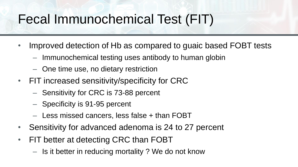#### Fecal Immunochemical Test (FIT)

- Improved detection of Hb as compared to guaic based FOBT tests
	- Immunochemical testing uses antibody to human globin
	- One time use, no dietary restriction
- FIT increased sensitivity/specificity for CRC
	- Sensitivity for CRC is 73-88 percent
	- Specificity is 91-95 percent
	- Less missed cancers, less false + than FOBT
- Sensitivity for advanced adenoma is 24 to 27 percent
- FIT better at detecting CRC than FOBT
	- Is it better in reducing mortality ? We do not know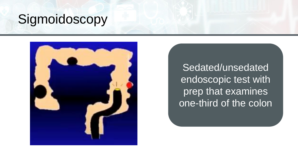#### Sigmoidoscopy



Sedated/unsedated endoscopic test with prep that examines one-third of the colon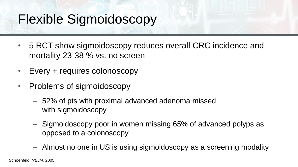### Flexible Sigmoidoscopy

- 5 RCT show sigmoidoscopy reduces overall CRC incidence and mortality 23-38 % vs. no screen
- Every + requires colonoscopy
- Problems of sigmoidoscopy
	- 52% of pts with proximal advanced adenoma missed with sigmoidoscopy
	- Sigmoidoscopy poor in women missing 65% of advanced polyps as opposed to a colonoscopy
	- Almost no one in US is using sigmoidoscopy as a screening modality

Schoenfeld. *NEJM.* 2005.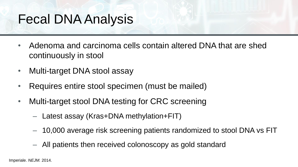#### Fecal DNA Analysis

- Adenoma and carcinoma cells contain altered DNA that are shed continuously in stool
- Multi-target DNA stool assay
- Requires entire stool specimen (must be mailed)
- Multi-target stool DNA testing for CRC screening
	- Latest assay (Kras+DNA methylation+FIT)
	- 10,000 average risk screening patients randomized to stool DNA vs FIT
	- All patients then received colonoscopy as gold standard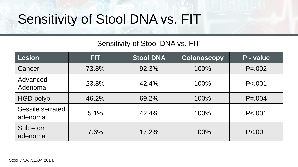### Sensitivity of Stool DNA vs. FIT

#### Sensitivity of Stool DNA vs. FIT

| <b>Lesion</b>               | FIT.  | <b>Stool DNA</b> | Colonoscopy | P - value   |
|-----------------------------|-------|------------------|-------------|-------------|
| Cancer                      | 73.8% | 92.3%            | 100%        | $P = 0.002$ |
| Advanced<br>Adenoma         | 23.8% | 42.4%            | 100%        | P < .001    |
| <b>HGD polyp</b>            | 46.2% | 69.2%            | 100%        | $P = 0.004$ |
| Sessile serrated<br>adenoma | 5.1%  | 42.4%            | 100%        | P < .001    |
| $Sub - cm$<br>adenoma       | 7.6%  | 17.2%            | 100%        | P < .001    |

Stool DNA. *NEJM.* 2014.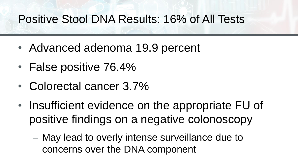#### Positive Stool DNA Results: 16% of All Tests

- Advanced adenoma 19.9 percent
- False positive 76.4%
- Colorectal cancer 3.7%
- Insufficient evidence on the appropriate FU of positive findings on a negative colonoscopy
	- May lead to overly intense surveillance due to concerns over the DNA component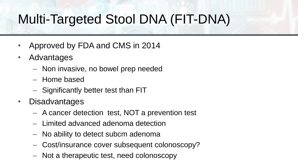# Multi-Targeted Stool DNA (FIT-DNA)

- Approved by FDA and CMS in 2014
- Advantages
	- Non invasive, no bowel prep needed
	- Home based
	- Significantly better test than FIT
- Disadvantages
	- A cancer detection test, NOT a prevention test
	- Limited advanced adenoma detection
	- No ability to detect subcm adenoma
	- Cost/insurance cover subsequent colonoscopy?
	- Not a therapeutic test, need colonoscopy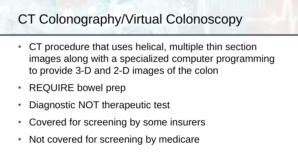## CT Colonography/Virtual Colonoscopy

- CT procedure that uses helical, multiple thin section images along with a specialized computer programming to provide 3-D and 2-D images of the colon
- REQUIRE bowel prep
- Diagnostic NOT therapeutic test
- Covered for screening by some insurers
- Not covered for screening by medicare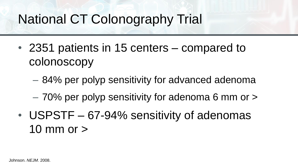#### National CT Colonography Trial

- 2351 patients in 15 centers compared to colonoscopy
	- 84% per polyp sensitivity for advanced adenoma
	- 70% per polyp sensitivity for adenoma 6 mm or >
- USPSTF 67-94% sensitivity of adenomas 10 mm or >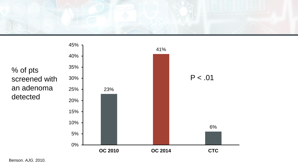

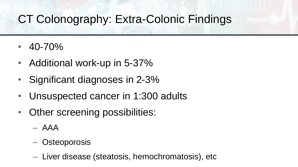#### CT Colonography: Extra-Colonic Findings

- $\cdot$  40-70%
- Additional work-up in 5-37%
- Significant diagnoses in 2-3%
- Unsuspected cancer in 1:300 adults
- Other screening possibilities:
	- AAA
	- **Osteoporosis**
	- Liver disease (steatosis, hemochromatosis), etc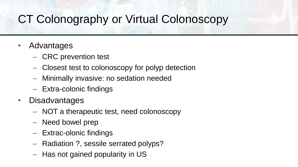#### CT Colonography or Virtual Colonoscopy

- Advantages
	- CRC prevention test
	- Closest test to colonoscopy for polyp detection
	- Minimally invasive: no sedation needed
	- Extra-colonic findings
- Disadvantages
	- NOT a therapeutic test, need colonoscopy
	- Need bowel prep
	- Extrac-olonic findings
	- Radiation ?, sessile serrated polyps?
	- Has not gained popularity in US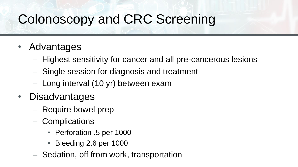### Colonoscopy and CRC Screening

- Advantages
	- Highest sensitivity for cancer and all pre-cancerous lesions
	- Single session for diagnosis and treatment
	- Long interval (10 yr) between exam
- Disadvantages
	- Require bowel prep
	- Complications
		- Perforation .5 per 1000
		- Bleeding 2.6 per 1000
	- Sedation, off from work, transportation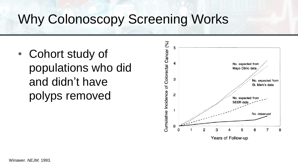# Why Colonoscopy Screening Works

• Cohort study of populations who did and didn't have polyps removed

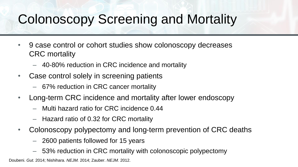### Colonoscopy Screening and Mortality

- 9 case control or cohort studies show colonoscopy decreases CRC mortality
	- 40-80% reduction in CRC incidence and mortality
- Case control solely in screening patients
	- 67% reduction in CRC cancer mortality
- Long-term CRC incidence and mortality after lower endoscopy
	- Multi hazard ratio for CRC incidence 0.44
	- Hazard ratio of 0.32 for CRC mortality
- Colonoscopy polypectomy and long-term prevention of CRC deaths
	- 2600 patients followed for 15 years
	- 53% reduction in CRC mortality with colonoscopic polypectomy

Doubeni. *Gut.* 2014; Nishihara. *NEJM.* 2014; Zauber. *NEJM.* 2012.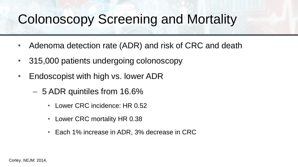#### Colonoscopy Screening and Mortality

- Adenoma detection rate (ADR) and risk of CRC and death
- 315,000 patients undergoing colonoscopy
- Endoscopist with high vs. lower ADR
	- 5 ADR quintiles from 16.6%
		- Lower CRC incidence: HR 0.52
		- Lower CRC mortality HR 0.38
		- Each 1% increase in ADR, 3% decrease in CRC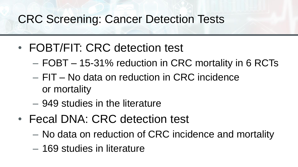#### CRC Screening: Cancer Detection Tests

- FOBT/FIT: CRC detection test
	- FOBT 15-31% reduction in CRC mortality in 6 RCTs
	- FIT No data on reduction in CRC incidence or mortality
	- 949 studies in the literature
- Fecal DNA: CRC detection test
	- No data on reduction of CRC incidence and mortality
	- 169 studies in literature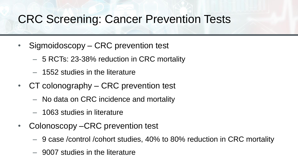#### CRC Screening: Cancer Prevention Tests

- Sigmoidoscopy CRC prevention test
	- 5 RCTs: 23-38% reduction in CRC mortality
	- 1552 studies in the literature
- CT colonography CRC prevention test
	- No data on CRC incidence and mortality
	- 1063 studies in literature
- Colonoscopy CRC prevention test
	- 9 case /control /cohort studies, 40% to 80% reduction in CRC mortality
	- 9007 studies in the literature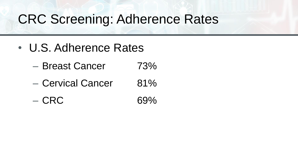#### CRC Screening: Adherence Rates

- U.S. Adherence Rates
	- Breast Cancer 73%
	- Cervical Cancer 81%
	- $-$  CRC 69%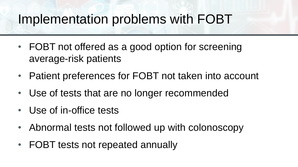#### Implementation problems with FOBT

- FOBT not offered as a good option for screening average-risk patients
- Patient preferences for FOBT not taken into account
- Use of tests that are no longer recommended
- Use of in-office tests
- Abnormal tests not followed up with colonoscopy
- FOBT tests not repeated annually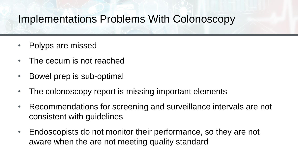#### Implementations Problems With Colonoscopy

- Polyps are missed
- The cecum is not reached
- Bowel prep is sub-optimal
- The colonoscopy report is missing important elements
- Recommendations for screening and surveillance intervals are not consistent with guidelines
- Endoscopists do not monitor their performance, so they are not aware when the are not meeting quality standard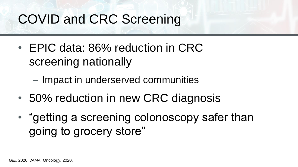### COVID and CRC Screening

- EPIC data: 86% reduction in CRC screening nationally
	- Impact in underserved communities
- 50% reduction in new CRC diagnosis
- "getting a screening colonoscopy safer than going to grocery store"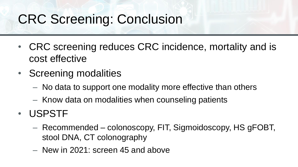### CRC Screening: Conclusion

- CRC screening reduces CRC incidence, mortality and is cost effective
- Screening modalities
	- No data to support one modality more effective than others
	- Know data on modalities when counseling patients
- USPSTF
	- Recommended colonoscopy, FIT, Sigmoidoscopy, HS gFOBT, stool DNA, CT colonography
	- New in 2021: screen 45 and above